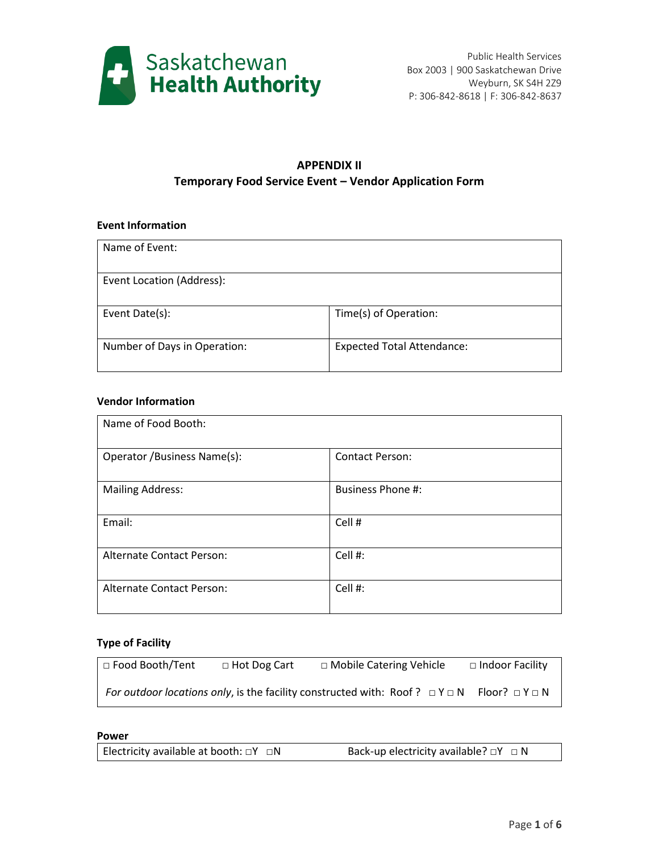

## **APPENDIX II Temporary Food Service Event – Vendor Application Form**

### **Event Information**

| Name of Event:               |                                   |
|------------------------------|-----------------------------------|
| Event Location (Address):    |                                   |
| Event Date(s):               | Time(s) of Operation:             |
| Number of Days in Operation: | <b>Expected Total Attendance:</b> |

### **Vendor Information**

| Name of Food Booth:          |                          |
|------------------------------|--------------------------|
| Operator / Business Name(s): | <b>Contact Person:</b>   |
| <b>Mailing Address:</b>      | <b>Business Phone #:</b> |
| Email:                       | Cell #                   |
| Alternate Contact Person:    | Cell #:                  |
| Alternate Contact Person:    | Cell #:                  |

### **Type of Facility**

| □ Food Booth/Tent | $\Box$ Hot Dog Cart | □ Mobile Catering Vehicle                                                                                  | □ Indoor Facility |
|-------------------|---------------------|------------------------------------------------------------------------------------------------------------|-------------------|
|                   |                     | For outdoor locations only, is the facility constructed with: Roof? $\Box Y \Box N$ Floor? $\Box Y \Box N$ |                   |

#### **Power**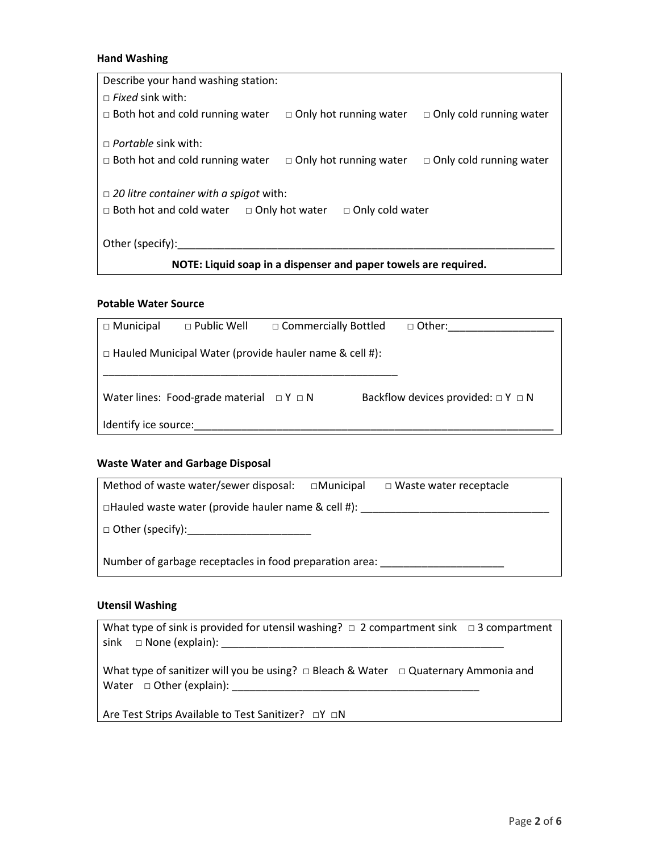### **Hand Washing**

| Describe your hand washing station:                                  |                                                                 |                                |
|----------------------------------------------------------------------|-----------------------------------------------------------------|--------------------------------|
| $\Box$ Fixed sink with:                                              |                                                                 |                                |
| $\Box$ Both hot and cold running water                               | $\Box$ Only hot running water                                   | $\Box$ Only cold running water |
| $\Box$ Portable sink with:<br>$\Box$ Both hot and cold running water | $\Box$ Only hot running water                                   | $\Box$ Only cold running water |
| $\Box$ 20 litre container with a spigot with:                        |                                                                 |                                |
| $\Box$ Both hot and cold water $\Box$ Only hot water                 | $\Box$ Only cold water                                          |                                |
|                                                                      |                                                                 |                                |
| Other (specify):                                                     |                                                                 |                                |
|                                                                      | NOTE: Liquid soap in a dispenser and paper towels are required. |                                |

### **Potable Water Source**

| $\Box$ Municipal     | $\Box$ Public Well                               | $\Box$ Commercially Bottled                                   | $\Box$ Other:                              |
|----------------------|--------------------------------------------------|---------------------------------------------------------------|--------------------------------------------|
|                      |                                                  | $\Box$ Hauled Municipal Water (provide hauler name & cell #): |                                            |
|                      |                                                  |                                                               |                                            |
|                      | Water lines: Food-grade material $\Box Y \Box N$ |                                                               | Backflow devices provided: $\Box Y \Box N$ |
| Identify ice source: |                                                  |                                                               |                                            |

# **Waste Water and Garbage Disposal**

| Method of waste water/sewer disposal:                     | $\Box$ Municipal | $\Box$ Waste water receptacle |
|-----------------------------------------------------------|------------------|-------------------------------|
| $\Box$ Hauled waste water (provide hauler name & cell #): |                  |                               |
|                                                           |                  |                               |
| Number of garbage receptacles in food preparation area:   |                  |                               |

# **Utensil Washing**

| What type of sink is provided for utensil washing? $\Box$ 2 compartment sink $\Box$ 3 compartment |  |
|---------------------------------------------------------------------------------------------------|--|
|                                                                                                   |  |
|                                                                                                   |  |
| What type of sanitizer will you be using? $\Box$ Bleach & Water $\Box$ Quaternary Ammonia and     |  |
| Water $\Box$ Other (explain):                                                                     |  |
|                                                                                                   |  |
| Are Test Strips Available to Test Sanitizer? □Y □N                                                |  |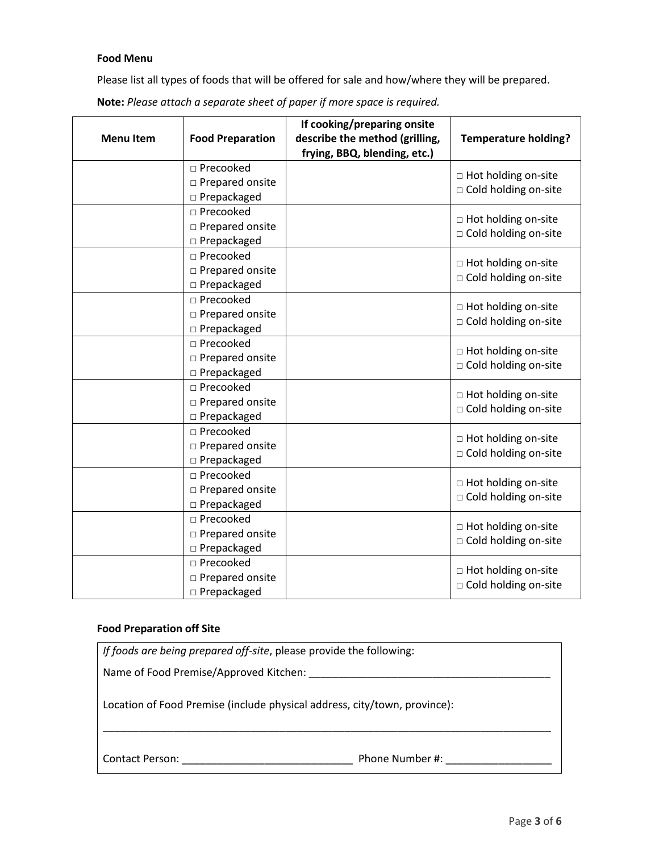### **Food Menu**

Please list all types of foods that will be offered for sale and how/where they will be prepared.

|                  |                         | If cooking/preparing onsite    |                             |
|------------------|-------------------------|--------------------------------|-----------------------------|
| <b>Menu Item</b> | <b>Food Preparation</b> | describe the method (grilling, | <b>Temperature holding?</b> |
|                  |                         | frying, BBQ, blending, etc.)   |                             |
|                  | □ Precooked             |                                | □ Hot holding on-site       |
|                  | □ Prepared onsite       |                                | □ Cold holding on-site      |
|                  | $\square$ Prepackaged   |                                |                             |
|                  | □ Precooked             |                                | □ Hot holding on-site       |
|                  | □ Prepared onsite       |                                | □ Cold holding on-site      |
|                  | $\square$ Prepackaged   |                                |                             |
|                  | □ Precooked             |                                | □ Hot holding on-site       |
|                  | □ Prepared onsite       |                                | □ Cold holding on-site      |
|                  | □ Prepackaged           |                                |                             |
|                  | □ Precooked             |                                | □ Hot holding on-site       |
|                  | □ Prepared onsite       |                                | □ Cold holding on-site      |
|                  | □ Prepackaged           |                                |                             |
|                  | □ Precooked             |                                | □ Hot holding on-site       |
|                  | □ Prepared onsite       |                                | □ Cold holding on-site      |
|                  | $\square$ Prepackaged   |                                |                             |
|                  | □ Precooked             |                                | □ Hot holding on-site       |
|                  | □ Prepared onsite       |                                | □ Cold holding on-site      |
|                  | □ Prepackaged           |                                |                             |
|                  | □ Precooked             |                                | □ Hot holding on-site       |
|                  | □ Prepared onsite       |                                | □ Cold holding on-site      |
|                  | $\square$ Prepackaged   |                                |                             |
|                  | □ Precooked             |                                | □ Hot holding on-site       |
|                  | □ Prepared onsite       |                                | □ Cold holding on-site      |
|                  | □ Prepackaged           |                                |                             |
|                  | □ Precooked             |                                | □ Hot holding on-site       |
|                  | □ Prepared onsite       |                                | □ Cold holding on-site      |
|                  | □ Prepackaged           |                                |                             |
|                  | □ Precooked             |                                | □ Hot holding on-site       |
|                  | □ Prepared onsite       |                                |                             |
|                  | $\square$ Prepackaged   |                                | □ Cold holding on-site      |

**Note:** *Please attach a separate sheet of paper if more space is required.*

### **Food Preparation off Site**

|                                        | If foods are being prepared off-site, please provide the following:       |
|----------------------------------------|---------------------------------------------------------------------------|
| Name of Food Premise/Approved Kitchen: |                                                                           |
|                                        | Location of Food Premise (include physical address, city/town, province): |
| <b>Contact Person:</b>                 | Phone Number #:                                                           |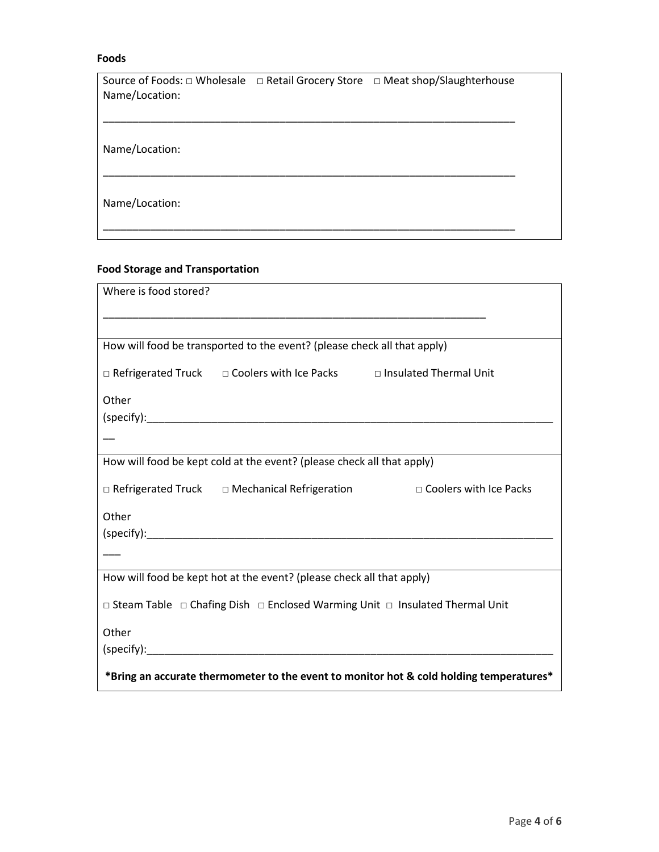#### **Foods**

| Source of Foods: □ Wholesale □ Retail Grocery Store □ Meat shop/Slaughterhouse<br>Name/Location: |  |  |
|--------------------------------------------------------------------------------------------------|--|--|
|                                                                                                  |  |  |
| Name/Location:                                                                                   |  |  |
| Name/Location:                                                                                   |  |  |

### **Food Storage and Transportation**

| Where is food stored?                                                                   |
|-----------------------------------------------------------------------------------------|
|                                                                                         |
| How will food be transported to the event? (please check all that apply)                |
| □ Refrigerated Truck □ Coolers with Ice Packs □ Insulated Thermal Unit                  |
| Other                                                                                   |
|                                                                                         |
|                                                                                         |
| How will food be kept cold at the event? (please check all that apply)                  |
| □ Refrigerated Truck □ Mechanical Refrigeration □ □ Coolers with Ice Packs              |
| Other                                                                                   |
|                                                                                         |
|                                                                                         |
| How will food be kept hot at the event? (please check all that apply)                   |
| □ Steam Table □ Chafing Dish □ Enclosed Warming Unit □ Insulated Thermal Unit           |
| Other                                                                                   |
|                                                                                         |
| *Bring an accurate thermometer to the event to monitor hot & cold holding temperatures* |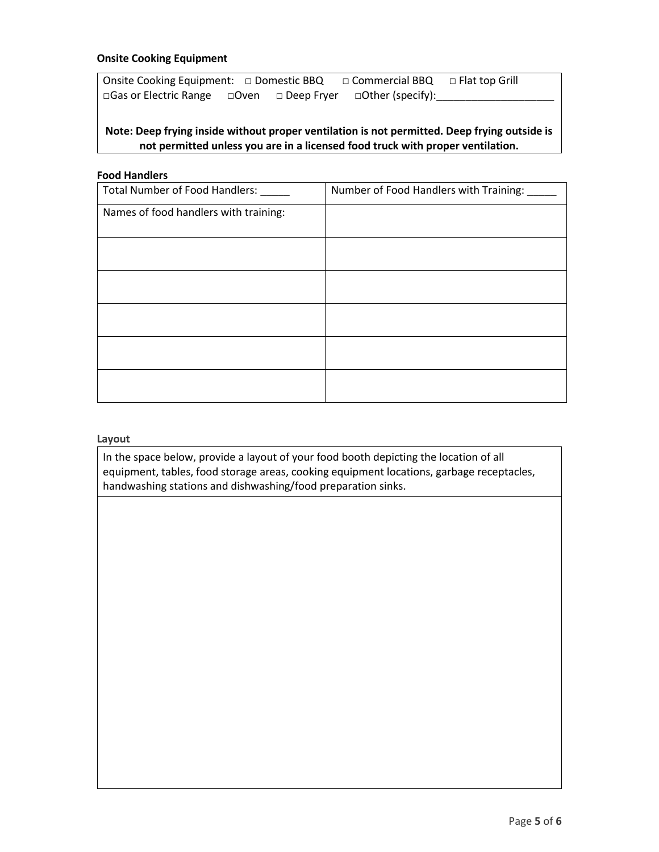### **Onsite Cooking Equipment**

Onsite Cooking Equipment: □ Domestic BBQ □ Commercial BBQ □ Flat top Grill □Gas or Electric Range □Oven □ Deep Fryer □Other (specify):

### **Note: Deep frying inside without proper ventilation is not permitted. Deep frying outside is not permitted unless you are in a licensed food truck with proper ventilation.**

#### **Food Handlers**

| Total Number of Food Handlers: ___    | Number of Food Handlers with Training: ___ |
|---------------------------------------|--------------------------------------------|
| Names of food handlers with training: |                                            |
|                                       |                                            |
|                                       |                                            |
|                                       |                                            |
|                                       |                                            |
|                                       |                                            |
|                                       |                                            |
|                                       |                                            |

#### **Layout**

In the space below, provide a layout of your food booth depicting the location of all equipment, tables, food storage areas, cooking equipment locations, garbage receptacles, handwashing stations and dishwashing/food preparation sinks.